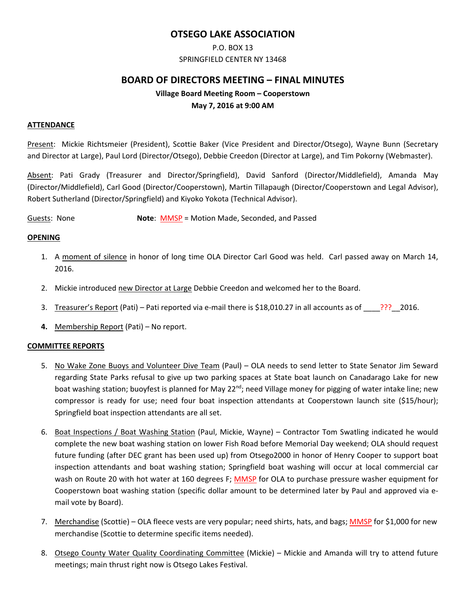# **OTSEGO LAKE ASSOCIATION**

# P.O. BOX 13

#### SPRINGFIELD CENTER NY 13468

# **BOARD OF DIRECTORS MEETING – FINAL MINUTES**

# **Village Board Meeting Room – Cooperstown May 7, 2016 at 9:00 AM**

#### **ATTENDANCE**

Present: Mickie Richtsmeier (President), Scottie Baker (Vice President and Director/Otsego), Wayne Bunn (Secretary and Director at Large), Paul Lord (Director/Otsego), Debbie Creedon (Director at Large), and Tim Pokorny (Webmaster).

Absent: Pati Grady (Treasurer and Director/Springfield), David Sanford (Director/Middlefield), Amanda May (Director/Middlefield), Carl Good (Director/Cooperstown), Martin Tillapaugh (Director/Cooperstown and Legal Advisor), Robert Sutherland (Director/Springfield) and Kiyoko Yokota (Technical Advisor).

Guests: None **Note: MMSP** = Motion Made, Seconded, and Passed

#### **OPENING**

- 1. A moment of silence in honor of long time OLA Director Carl Good was held. Carl passed away on March 14, 2016.
- 2. Mickie introduced new Director at Large Debbie Creedon and welcomed her to the Board.
- 3. Treasurer's Report (Pati) Pati reported via e-mail there is \$18,010.27 in all accounts as of  $\frac{???}{?}$  2016.
- **4.** Membership Report (Pati) No report.

## **COMMITTEE REPORTS**

- 5. No Wake Zone Buoys and Volunteer Dive Team (Paul) OLA needs to send letter to State Senator Jim Seward regarding State Parks refusal to give up two parking spaces at State boat launch on Canadarago Lake for new boat washing station; buoyfest is planned for May 22<sup>nd</sup>; need Village money for pigging of water intake line; new compressor is ready for use; need four boat inspection attendants at Cooperstown launch site (\$15/hour); Springfield boat inspection attendants are all set.
- 6. Boat Inspections / Boat Washing Station (Paul, Mickie, Wayne) Contractor Tom Swatling indicated he would complete the new boat washing station on lower Fish Road before Memorial Day weekend; OLA should request future funding (after DEC grant has been used up) from Otsego2000 in honor of Henry Cooper to support boat inspection attendants and boat washing station; Springfield boat washing will occur at local commercial car wash on Route 20 with hot water at 160 degrees F; MMSP for OLA to purchase pressure washer equipment for Cooperstown boat washing station (specific dollar amount to be determined later by Paul and approved via e‐ mail vote by Board).
- 7. Merchandise (Scottie) OLA fleece vests are very popular; need shirts, hats, and bags; MMSP for \$1,000 for new merchandise (Scottie to determine specific items needed).
- 8. Otsego County Water Quality Coordinating Committee (Mickie) Mickie and Amanda will try to attend future meetings; main thrust right now is Otsego Lakes Festival.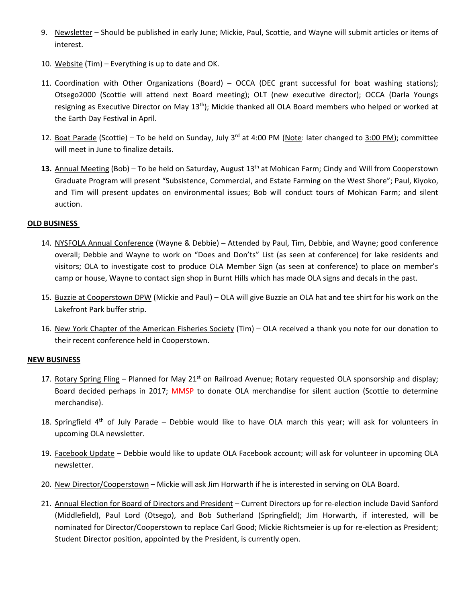- 9. Newsletter Should be published in early June; Mickie, Paul, Scottie, and Wayne will submit articles or items of interest.
- 10. Website (Tim) Everything is up to date and OK.
- 11. Coordination with Other Organizations (Board) OCCA (DEC grant successful for boat washing stations); Otsego2000 (Scottie will attend next Board meeting); OLT (new executive director); OCCA (Darla Youngs resigning as Executive Director on May 13<sup>th</sup>); Mickie thanked all OLA Board members who helped or worked at the Earth Day Festival in April.
- 12. Boat Parade (Scottie) To be held on Sunday, July 3<sup>rd</sup> at 4:00 PM (Note: later changed to  $3:00$  PM); committee will meet in June to finalize details.
- 13. Annual Meeting (Bob) To be held on Saturday, August 13<sup>th</sup> at Mohican Farm; Cindy and Will from Cooperstown Graduate Program will present "Subsistence, Commercial, and Estate Farming on the West Shore"; Paul, Kiyoko, and Tim will present updates on environmental issues; Bob will conduct tours of Mohican Farm; and silent auction.

## **OLD BUSINESS**

- 14. NYSFOLA Annual Conference (Wayne & Debbie) Attended by Paul, Tim, Debbie, and Wayne; good conference overall; Debbie and Wayne to work on "Does and Don'ts" List (as seen at conference) for lake residents and visitors; OLA to investigate cost to produce OLA Member Sign (as seen at conference) to place on member's camp or house, Wayne to contact sign shop in Burnt Hills which has made OLA signs and decals in the past.
- 15. Buzzie at Cooperstown DPW (Mickie and Paul) OLA will give Buzzie an OLA hat and tee shirt for his work on the Lakefront Park buffer strip.
- 16. New York Chapter of the American Fisheries Society (Tim) OLA received a thank you note for our donation to their recent conference held in Cooperstown.

## **NEW BUSINESS**

- 17. Rotary Spring Fling Planned for May 21<sup>st</sup> on Railroad Avenue; Rotary requested OLA sponsorship and display; Board decided perhaps in 2017; MMSP to donate OLA merchandise for silent auction (Scottie to determine merchandise).
- 18. Springfield  $4<sup>th</sup>$  of July Parade Debbie would like to have OLA march this year; will ask for volunteers in upcoming OLA newsletter.
- 19. Facebook Update Debbie would like to update OLA Facebook account; will ask for volunteer in upcoming OLA newsletter.
- 20. New Director/Cooperstown Mickie will ask Jim Horwarth if he is interested in serving on OLA Board.
- 21. Annual Election for Board of Directors and President Current Directors up for re‐election include David Sanford (Middlefield), Paul Lord (Otsego), and Bob Sutherland (Springfield); Jim Horwarth, if interested, will be nominated for Director/Cooperstown to replace Carl Good; Mickie Richtsmeier is up for re‐election as President; Student Director position, appointed by the President, is currently open.